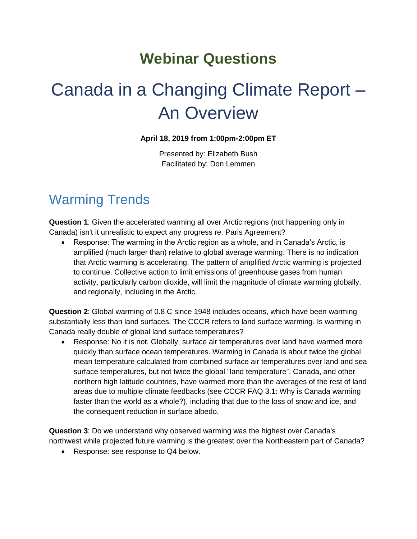## **Webinar Questions**

# Canada in a Changing Climate Report – An Overview

#### **April 18, 2019 from 1:00pm-2:00pm ET**

Presented by: Elizabeth Bush Facilitated by: Don Lemmen

#### Warming Trends

**Question 1**: Given the accelerated warming all over Arctic regions (not happening only in Canada) isn't it unrealistic to expect any progress re. Paris Agreement?

 Response: The warming in the Arctic region as a whole, and in Canada's Arctic, is amplified (much larger than) relative to global average warming. There is no indication that Arctic warming is accelerating. The pattern of amplified Arctic warming is projected to continue. Collective action to limit emissions of greenhouse gases from human activity, particularly carbon dioxide, will limit the magnitude of climate warming globally, and regionally, including in the Arctic.

**Question 2**: Global warming of 0.8 C since 1948 includes oceans, which have been warming substantially less than land surfaces. The CCCR refers to land surface warming. Is warming in Canada really double of global land surface temperatures?

 Response: No it is not. Globally, surface air temperatures over land have warmed more quickly than surface ocean temperatures. Warming in Canada is about twice the global mean temperature calculated from combined surface air temperatures over land and sea surface temperatures, but not twice the global "land temperature". Canada, and other northern high latitude countries, have warmed more than the averages of the rest of land areas due to multiple climate feedbacks (see CCCR FAQ 3.1: Why is Canada warming faster than the world as a whole?), including that due to the loss of snow and ice, and the consequent reduction in surface albedo.

**Question 3**: Do we understand why observed warming was the highest over Canada's northwest while projected future warming is the greatest over the Northeastern part of Canada?

• Response: see response to Q4 below.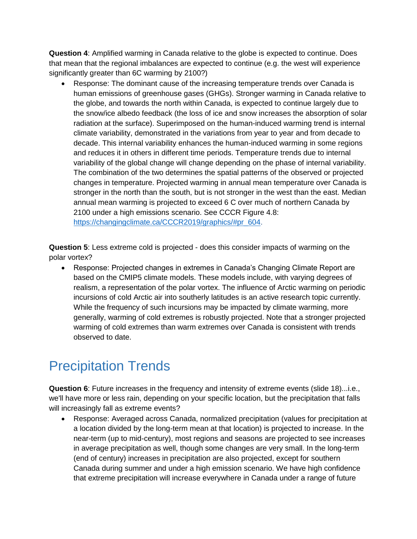**Question 4**: Amplified warming in Canada relative to the globe is expected to continue. Does that mean that the regional imbalances are expected to continue (e.g. the west will experience significantly greater than 6C warming by 2100?)

 Response: The dominant cause of the increasing temperature trends over Canada is human emissions of greenhouse gases (GHGs). Stronger warming in Canada relative to the globe, and towards the north within Canada, is expected to continue largely due to the snow/ice albedo feedback (the loss of ice and snow increases the absorption of solar radiation at the surface). Superimposed on the human-induced warming trend is internal climate variability, demonstrated in the variations from year to year and from decade to decade. This internal variability enhances the human-induced warming in some regions and reduces it in others in different time periods. Temperature trends due to internal variability of the global change will change depending on the phase of internal variability. The combination of the two determines the spatial patterns of the observed or projected changes in temperature. Projected warming in annual mean temperature over Canada is stronger in the north than the south, but is not stronger in the west than the east. Median annual mean warming is projected to exceed 6 C over much of northern Canada by 2100 under a high emissions scenario. See CCCR Figure 4.8: [https://changingclimate.ca/CCCR2019/graphics/#pr\\_604.](https://changingclimate.ca/CCCR2019/graphics/#pr_604)

**Question 5**: Less extreme cold is projected - does this consider impacts of warming on the polar vortex?

 Response: Projected changes in extremes in Canada's Changing Climate Report are based on the CMIP5 climate models. These models include, with varying degrees of realism, a representation of the polar vortex. The influence of Arctic warming on periodic incursions of cold Arctic air into southerly latitudes is an active research topic currently. While the frequency of such incursions may be impacted by climate warming, more generally, warming of cold extremes is robustly projected. Note that a stronger projected warming of cold extremes than warm extremes over Canada is consistent with trends observed to date.

# Precipitation Trends

**Question 6**: Future increases in the frequency and intensity of extreme events (slide 18)...i.e., we'll have more or less rain, depending on your specific location, but the precipitation that falls will increasingly fall as extreme events?

 Response: Averaged across Canada, normalized precipitation (values for precipitation at a location divided by the long-term mean at that location) is projected to increase. In the near-term (up to mid-century), most regions and seasons are projected to see increases in average precipitation as well, though some changes are very small. In the long-term (end of century) increases in precipitation are also projected, except for southern Canada during summer and under a high emission scenario. We have high confidence that extreme precipitation will increase everywhere in Canada under a range of future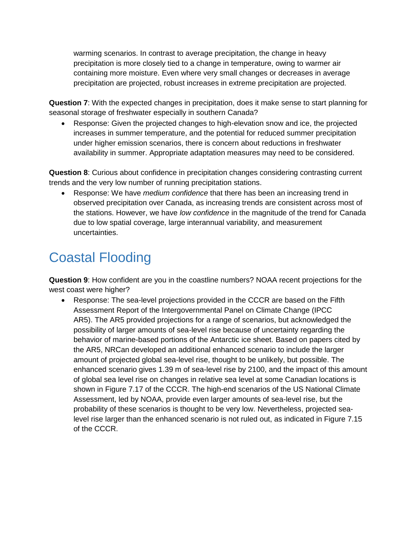warming scenarios. In contrast to average precipitation, the change in heavy precipitation is more closely tied to a change in temperature, owing to warmer air containing more moisture. Even where very small changes or decreases in average precipitation are projected, robust increases in extreme precipitation are projected.

**Question 7**: With the expected changes in precipitation, does it make sense to start planning for seasonal storage of freshwater especially in southern Canada?

 Response: Given the projected changes to high-elevation snow and ice, the projected increases in summer temperature, and the potential for reduced summer precipitation under higher emission scenarios, there is concern about reductions in freshwater availability in summer. Appropriate adaptation measures may need to be considered.

**Question 8**: Curious about confidence in precipitation changes considering contrasting current trends and the very low number of running precipitation stations.

 Response: We have *medium confidence* that there has been an increasing trend in observed precipitation over Canada, as increasing trends are consistent across most of the stations. However, we have *low confidence* in the magnitude of the trend for Canada due to low spatial coverage, large interannual variability, and measurement uncertainties.

# Coastal Flooding

**Question 9**: How confident are you in the coastline numbers? NOAA recent projections for the west coast were higher?

 Response: The sea-level projections provided in the CCCR are based on the Fifth Assessment Report of the Intergovernmental Panel on Climate Change (IPCC AR5). The AR5 provided projections for a range of scenarios, but acknowledged the possibility of larger amounts of sea-level rise because of uncertainty regarding the behavior of marine-based portions of the Antarctic ice sheet. Based on papers cited by the AR5, NRCan developed an additional enhanced scenario to include the larger amount of projected global sea-level rise, thought to be unlikely, but possible. The enhanced scenario gives 1.39 m of sea-level rise by 2100, and the impact of this amount of global sea level rise on changes in relative sea level at some Canadian locations is shown in Figure 7.17 of the CCCR. The high-end scenarios of the US National Climate Assessment, led by NOAA, provide even larger amounts of sea-level rise, but the probability of these scenarios is thought to be very low. Nevertheless, projected sealevel rise larger than the enhanced scenario is not ruled out, as indicated in Figure 7.15 of the CCCR.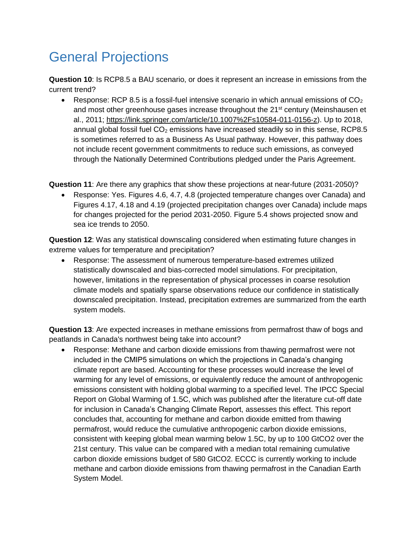### General Projections

**Question 10**: Is RCP8.5 a BAU scenario, or does it represent an increase in emissions from the current trend?

**•** Response: RCP 8.5 is a fossil-fuel intensive scenario in which annual emissions of  $CO<sub>2</sub>$ and most other greenhouse gases increase throughout the 21<sup>st</sup> century (Meinshausen et al., 2011; [https://link.springer.com/article/10.1007%2Fs10584-011-0156-z\)](https://link.springer.com/article/10.1007%2Fs10584-011-0156-z). Up to 2018, annual global fossil fuel  $CO<sub>2</sub>$  emissions have increased steadily so in this sense, RCP8.5 is sometimes referred to as a Business As Usual pathway. However, this pathway does not include recent government commitments to reduce such emissions, as conveyed through the Nationally Determined Contributions pledged under the Paris Agreement.

**Question 11**: Are there any graphics that show these projections at near-future (2031-2050)?

 Response: Yes. Figures 4.6, 4.7, 4.8 (projected temperature changes over Canada) and Figures 4.17, 4.18 and 4.19 (projected precipitation changes over Canada) include maps for changes projected for the period 2031-2050. Figure 5.4 shows projected snow and sea ice trends to 2050.

**Question 12**: Was any statistical downscaling considered when estimating future changes in extreme values for temperature and precipitation?

 Response: The assessment of numerous temperature-based extremes utilized statistically downscaled and bias-corrected model simulations. For precipitation, however, limitations in the representation of physical processes in coarse resolution climate models and spatially sparse observations reduce our confidence in statistically downscaled precipitation. Instead, precipitation extremes are summarized from the earth system models.

**Question 13**: Are expected increases in methane emissions from permafrost thaw of bogs and peatlands in Canada's northwest being take into account?

 Response: Methane and carbon dioxide emissions from thawing permafrost were not included in the CMIP5 simulations on which the projections in Canada's changing climate report are based. Accounting for these processes would increase the level of warming for any level of emissions, or equivalently reduce the amount of anthropogenic emissions consistent with holding global warming to a specified level. The IPCC Special Report on Global Warming of 1.5C, which was published after the literature cut-off date for inclusion in Canada's Changing Climate Report, assesses this effect. This report concludes that, accounting for methane and carbon dioxide emitted from thawing permafrost, would reduce the cumulative anthropogenic carbon dioxide emissions, consistent with keeping global mean warming below 1.5C, by up to 100 GtCO2 over the 21st century. This value can be compared with a median total remaining cumulative carbon dioxide emissions budget of 580 GtCO2. ECCC is currently working to include methane and carbon dioxide emissions from thawing permafrost in the Canadian Earth System Model.